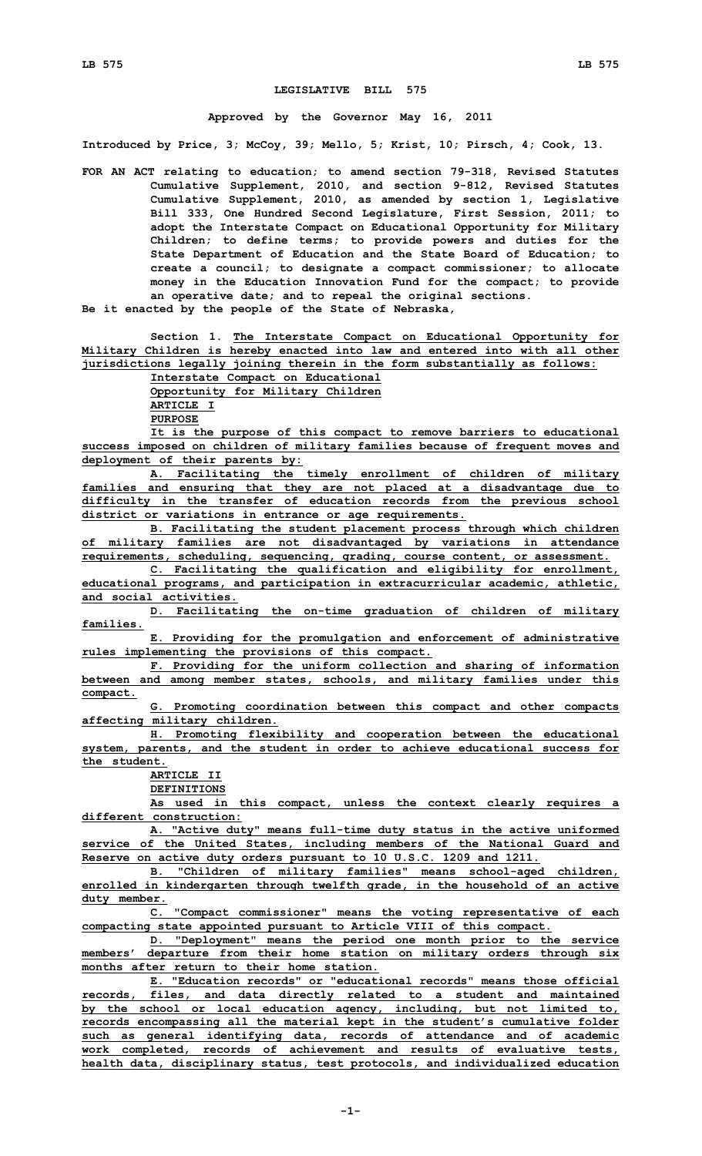## **LEGISLATIVE BILL 575**

## **Approved by the Governor May 16, 2011**

**Introduced by Price, 3; McCoy, 39; Mello, 5; Krist, 10; Pirsch, 4; Cook, 13.**

- **FOR AN ACT relating to education; to amend section 79-318, Revised Statutes Cumulative Supplement, 2010, and section 9-812, Revised Statutes Cumulative Supplement, 2010, as amended by section 1, Legislative Bill 333, One Hundred Second Legislature, First Session, 2011; to adopt the Interstate Compact on Educational Opportunity for Military Children; to define terms; to provide powers and duties for the State Department of Education and the State Board of Education; to create <sup>a</sup> council; to designate <sup>a</sup> compact commissioner; to allocate money in the Education Innovation Fund for the compact; to provide an operative date; and to repeal the original sections.**
- **Be it enacted by the people of the State of Nebraska,**

**Section 1. The Interstate Compact on Educational Opportunity for Military Children is hereby enacted into law and entered into with all other jurisdictions legally joining therein in the form substantially as follows:**

**Interstate Compact on Educational Opportunity for Military Children ARTICLE I PURPOSE**

**It is the purpose of this compact to remove barriers to educational success imposed on children of military families because of frequent moves and deployment of their parents by:**

**A. Facilitating the timely enrollment of children of military families and ensuring that they are not placed at <sup>a</sup> disadvantage due to difficulty in the transfer of education records from the previous school district or variations in entrance or age requirements.**

**B. Facilitating the student placement process through which children of military families are not disadvantaged by variations in attendance requirements, scheduling, sequencing, grading, course content, or assessment.**

**C. Facilitating the qualification and eligibility for enrollment, educational programs, and participation in extracurricular academic, athletic, and social activities.**

**D. Facilitating the on-time graduation of children of military families.**

**E. Providing for the promulgation and enforcement of administrative rules implementing the provisions of this compact.**

**F. Providing for the uniform collection and sharing of information between and among member states, schools, and military families under this compact.**

**G. Promoting coordination between this compact and other compacts affecting military children.**

**H. Promoting flexibility and cooperation between the educational system, parents, and the student in order to achieve educational success for the student.**

**ARTICLE II**

**DEFINITIONS**

**As used in this compact, unless the context clearly requires <sup>a</sup> different construction:**

**A. "Active duty" means full-time duty status in the active uniformed service of the United States, including members of the National Guard and Reserve on active duty orders pursuant to 10 U.S.C. 1209 and 1211.**

**B. "Children of military families" means school-aged children, enrolled in kindergarten through twelfth grade, in the household of an active duty member.**

**C. "Compact commissioner" means the voting representative of each compacting state appointed pursuant to Article VIII of this compact.**

**D. "Deployment" means the period one month prior to the service members' departure from their home station on military orders through six months after return to their home station.**

**E. "Education records" or "educational records" means those official records, files, and data directly related to <sup>a</sup> student and maintained by the school or local education agency, including, but not limited to, records encompassing all the material kept in the student's cumulative folder such as general identifying data, records of attendance and of academic work completed, records of achievement and results of evaluative tests, health data, disciplinary status, test protocols, and individualized education**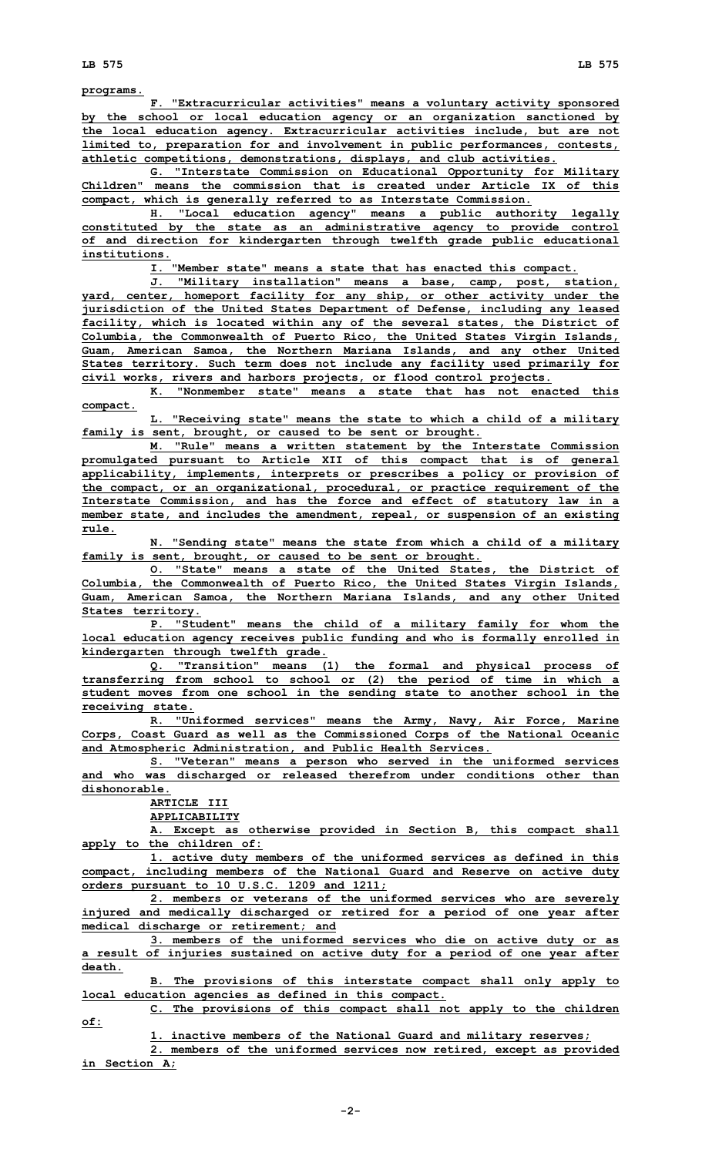**programs.**

**F. "Extracurricular activities" means <sup>a</sup> voluntary activity sponsored by the school or local education agency or an organization sanctioned by the local education agency. Extracurricular activities include, but are not limited to, preparation for and involvement in public performances, contests, athletic competitions, demonstrations, displays, and club activities.**

**G. "Interstate Commission on Educational Opportunity for Military Children" means the commission that is created under Article IX of this compact, which is generally referred to as Interstate Commission.**

**H. "Local education agency" means <sup>a</sup> public authority legally constituted by the state as an administrative agency to provide control of and direction for kindergarten through twelfth grade public educational institutions.**

**I. "Member state" means <sup>a</sup> state that has enacted this compact.**

**J. "Military installation" means <sup>a</sup> base, camp, post, station, yard, center, homeport facility for any ship, or other activity under the jurisdiction of the United States Department of Defense, including any leased facility, which is located within any of the several states, the District of Columbia, the Commonwealth of Puerto Rico, the United States Virgin Islands, Guam, American Samoa, the Northern Mariana Islands, and any other United States territory. Such term does not include any facility used primarily for civil works, rivers and harbors projects, or flood control projects.**

**K. "Nonmember state" means a state that has not enacted this compact.**

**L. "Receiving state" means the state to which <sup>a</sup> child of <sup>a</sup> military family is sent, brought, or caused to be sent or brought.**

**M. "Rule" means <sup>a</sup> written statement by the Interstate Commission promulgated pursuant to Article XII of this compact that is of general applicability, implements, interprets or prescribes <sup>a</sup> policy or provision of the compact, or an organizational, procedural, or practice requirement of the Interstate Commission, and has the force and effect of statutory law in <sup>a</sup> member state, and includes the amendment, repeal, or suspension of an existing rule.**

**N. "Sending state" means the state from which <sup>a</sup> child of <sup>a</sup> military family is sent, brought, or caused to be sent or brought.**

**O. "State" means <sup>a</sup> state of the United States, the District of Columbia, the Commonwealth of Puerto Rico, the United States Virgin Islands, Guam, American Samoa, the Northern Mariana Islands, and any other United States territory.**

**P. "Student" means the child of <sup>a</sup> military family for whom the local education agency receives public funding and who is formally enrolled in kindergarten through twelfth grade.**

**Q. "Transition" means (1) the formal and physical process of transferring from school to school or (2) the period of time in which <sup>a</sup> student moves from one school in the sending state to another school in the receiving state.**

**R. "Uniformed services" means the Army, Navy, Air Force, Marine Corps, Coast Guard as well as the Commissioned Corps of the National Oceanic and Atmospheric Administration, and Public Health Services.**

**S. "Veteran" means <sup>a</sup> person who served in the uniformed services and who was discharged or released therefrom under conditions other than dishonorable.**

**ARTICLE III**

**APPLICABILITY**

**A. Except as otherwise provided in Section B, this compact shall apply to the children of:**

**1. active duty members of the uniformed services as defined in this compact, including members of the National Guard and Reserve on active duty orders pursuant to 10 U.S.C. 1209 and 1211;**

**2. members or veterans of the uniformed services who are severely injured and medically discharged or retired for <sup>a</sup> period of one year after medical discharge or retirement; and**

**3. members of the uniformed services who die on active duty or as <sup>a</sup> result of injuries sustained on active duty for <sup>a</sup> period of one year after death.**

**B. The provisions of this interstate compact shall only apply to local education agencies as defined in this compact.**

**C. The provisions of this compact shall not apply to the children of:**

**1. inactive members of the National Guard and military reserves;**

**2. members of the uniformed services now retired, except as provided in Section A;**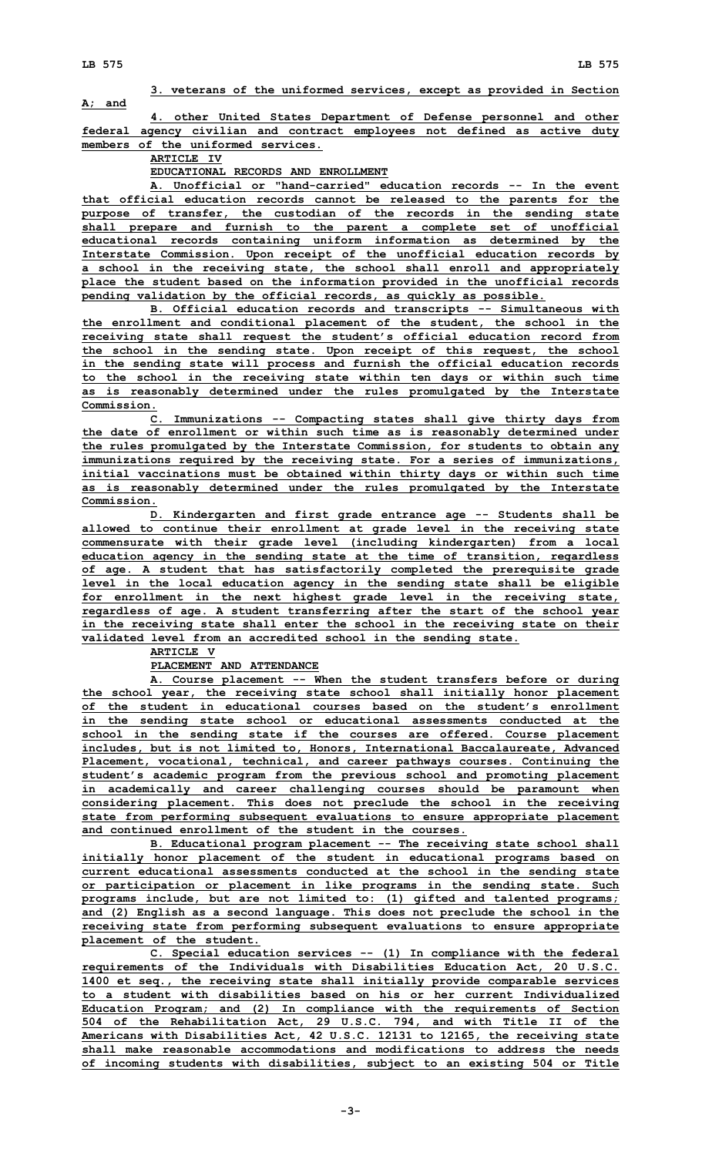## **3. veterans of the uniformed services, except as provided in Section A; and**

**4. other United States Department of Defense personnel and other federal agency civilian and contract employees not defined as active duty members of the uniformed services.**

**ARTICLE IV**

**EDUCATIONAL RECORDS AND ENROLLMENT**

**A. Unofficial or "hand-carried" education records -- In the event that official education records cannot be released to the parents for the purpose of transfer, the custodian of the records in the sending state shall prepare and furnish to the parent <sup>a</sup> complete set of unofficial educational records containing uniform information as determined by the Interstate Commission. Upon receipt of the unofficial education records by <sup>a</sup> school in the receiving state, the school shall enroll and appropriately place the student based on the information provided in the unofficial records pending validation by the official records, as quickly as possible.**

**B. Official education records and transcripts -- Simultaneous with the enrollment and conditional placement of the student, the school in the receiving state shall request the student's official education record from the school in the sending state. Upon receipt of this request, the school in the sending state will process and furnish the official education records to the school in the receiving state within ten days or within such time as is reasonably determined under the rules promulgated by the Interstate Commission.**

**C. Immunizations -- Compacting states shall give thirty days from the date of enrollment or within such time as is reasonably determined under the rules promulgated by the Interstate Commission, for students to obtain any immunizations required by the receiving state. For <sup>a</sup> series of immunizations, initial vaccinations must be obtained within thirty days or within such time as is reasonably determined under the rules promulgated by the Interstate Commission.**

**D. Kindergarten and first grade entrance age -- Students shall be allowed to continue their enrollment at grade level in the receiving state commensurate with their grade level (including kindergarten) from <sup>a</sup> local education agency in the sending state at the time of transition, regardless of age. A student that has satisfactorily completed the prerequisite grade level in the local education agency in the sending state shall be eligible for enrollment in the next highest grade level in the receiving state, regardless of age. A student transferring after the start of the school year in the receiving state shall enter the school in the receiving state on their validated level from an accredited school in the sending state.**

**ARTICLE V**

**PLACEMENT AND ATTENDANCE**

**A. Course placement -- When the student transfers before or during the school year, the receiving state school shall initially honor placement of the student in educational courses based on the student's enrollment in the sending state school or educational assessments conducted at the school in the sending state if the courses are offered. Course placement includes, but is not limited to, Honors, International Baccalaureate, Advanced Placement, vocational, technical, and career pathways courses. Continuing the student's academic program from the previous school and promoting placement in academically and career challenging courses should be paramount when considering placement. This does not preclude the school in the receiving state from performing subsequent evaluations to ensure appropriate placement and continued enrollment of the student in the courses.**

**B. Educational program placement -- The receiving state school shall initially honor placement of the student in educational programs based on current educational assessments conducted at the school in the sending state or participation or placement in like programs in the sending state. Such programs include, but are not limited to: (1) gifted and talented programs; and (2) English as <sup>a</sup> second language. This does not preclude the school in the receiving state from performing subsequent evaluations to ensure appropriate placement of the student.**

**C. Special education services -- (1) In compliance with the federal requirements of the Individuals with Disabilities Education Act, 20 U.S.C. 1400 et seq., the receiving state shall initially provide comparable services to a student with disabilities based on his or her current Individualized Education Program; and (2) In compliance with the requirements of Section 504 of the Rehabilitation Act, 29 U.S.C. 794, and with Title II of the Americans with Disabilities Act, 42 U.S.C. 12131 to 12165, the receiving state shall make reasonable accommodations and modifications to address the needs of incoming students with disabilities, subject to an existing 504 or Title**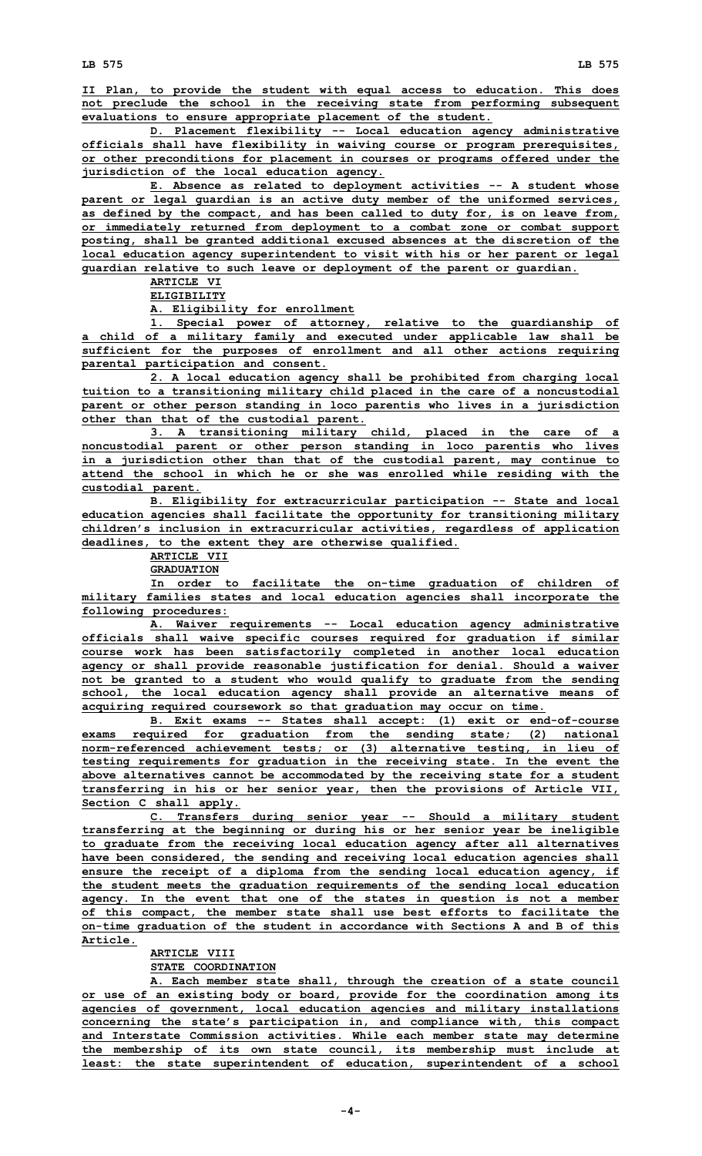**II Plan, to provide the student with equal access to education. This does not preclude the school in the receiving state from performing subsequent evaluations to ensure appropriate placement of the student.**

**D. Placement flexibility -- Local education agency administrative officials shall have flexibility in waiving course or program prerequisites, or other preconditions for placement in courses or programs offered under the jurisdiction of the local education agency.**

**E. Absence as related to deployment activities -- A student whose parent or legal guardian is an active duty member of the uniformed services, as defined by the compact, and has been called to duty for, is on leave from, or immediately returned from deployment to <sup>a</sup> combat zone or combat support posting, shall be granted additional excused absences at the discretion of the local education agency superintendent to visit with his or her parent or legal guardian relative to such leave or deployment of the parent or guardian.**

**ARTICLE VI**

**ELIGIBILITY**

**A. Eligibility for enrollment**

**1. Special power of attorney, relative to the guardianship of <sup>a</sup> child of <sup>a</sup> military family and executed under applicable law shall be sufficient for the purposes of enrollment and all other actions requiring parental participation and consent.**

**2. <sup>A</sup> local education agency shall be prohibited from charging local tuition to <sup>a</sup> transitioning military child placed in the care of <sup>a</sup> noncustodial parent or other person standing in loco parentis who lives in <sup>a</sup> jurisdiction other than that of the custodial parent.**

**3. <sup>A</sup> transitioning military child, placed in the care of <sup>a</sup> noncustodial parent or other person standing in loco parentis who lives in <sup>a</sup> jurisdiction other than that of the custodial parent, may continue to attend the school in which he or she was enrolled while residing with the custodial parent.**

**B. Eligibility for extracurricular participation -- State and local education agencies shall facilitate the opportunity for transitioning military children's inclusion in extracurricular activities, regardless of application deadlines, to the extent they are otherwise qualified.**

**ARTICLE VII**

**GRADUATION**

**In order to facilitate the on-time graduation of children of military families states and local education agencies shall incorporate the following procedures:**

**A. Waiver requirements -- Local education agency administrative officials shall waive specific courses required for graduation if similar course work has been satisfactorily completed in another local education agency or shall provide reasonable justification for denial. Should <sup>a</sup> waiver not be granted to <sup>a</sup> student who would qualify to graduate from the sending school, the local education agency shall provide an alternative means of acquiring required coursework so that graduation may occur on time.**

**B. Exit exams -- States shall accept: (1) exit or end-of-course exams required for graduation from the sending state; (2) national norm-referenced achievement tests; or (3) alternative testing, in lieu of testing requirements for graduation in the receiving state. In the event the above alternatives cannot be accommodated by the receiving state for <sup>a</sup> student transferring in his or her senior year, then the provisions of Article VII, Section C shall apply.**

**C. Transfers during senior year -- Should <sup>a</sup> military student transferring at the beginning or during his or her senior year be ineligible to graduate from the receiving local education agency after all alternatives have been considered, the sending and receiving local education agencies shall ensure the receipt of <sup>a</sup> diploma from the sending local education agency, if the student meets the graduation requirements of the sending local education agency. In the event that one of the states in question is not <sup>a</sup> member of this compact, the member state shall use best efforts to facilitate the on-time graduation of the student in accordance with Sections A and B of this Article.**

## **ARTICLE VIII**

**STATE COORDINATION**

**A. Each member state shall, through the creation of <sup>a</sup> state council or use of an existing body or board, provide for the coordination among its agencies of government, local education agencies and military installations concerning the state's participation in, and compliance with, this compact and Interstate Commission activities. While each member state may determine the membership of its own state council, its membership must include at least: the state superintendent of education, superintendent of <sup>a</sup> school**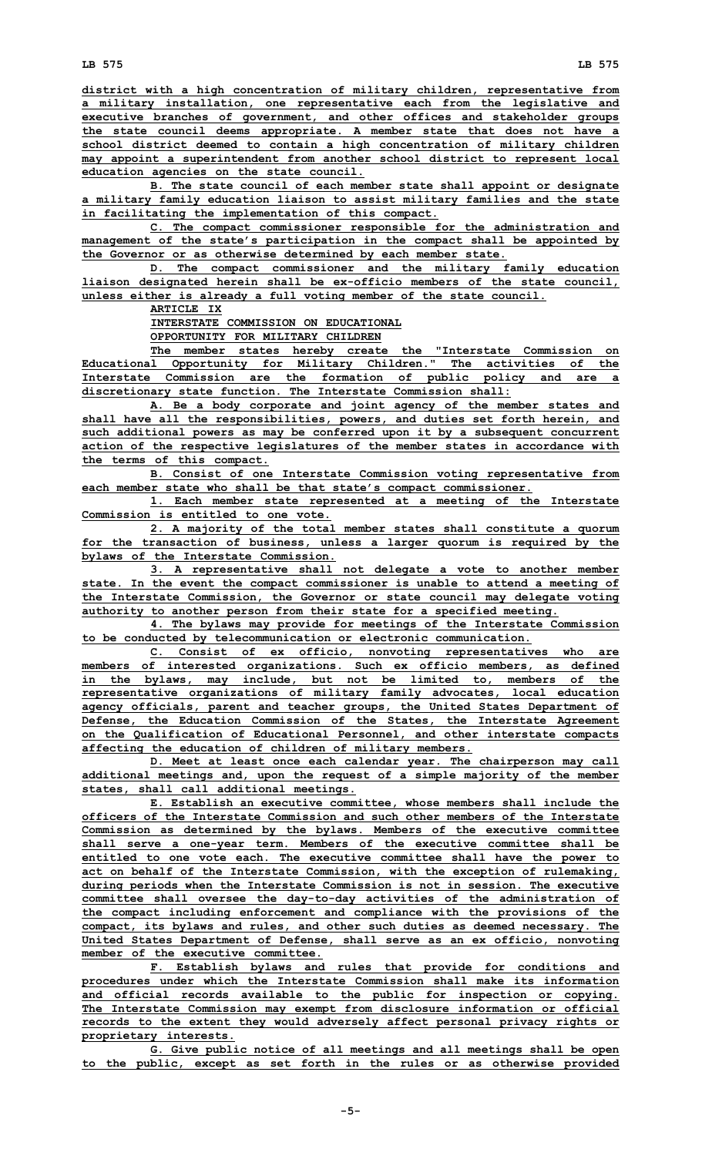**district with <sup>a</sup> high concentration of military children, representative from <sup>a</sup> military installation, one representative each from the legislative and executive branches of government, and other offices and stakeholder groups the state council deems appropriate. A member state that does not have <sup>a</sup> school district deemed to contain <sup>a</sup> high concentration of military children may appoint <sup>a</sup> superintendent from another school district to represent local education agencies on the state council.**

**B. The state council of each member state shall appoint or designate <sup>a</sup> military family education liaison to assist military families and the state in facilitating the implementation of this compact.**

**C. The compact commissioner responsible for the administration and management of the state's participation in the compact shall be appointed by the Governor or as otherwise determined by each member state.**

**D. The compact commissioner and the military family education liaison designated herein shall be ex-officio members of the state council, unless either is already <sup>a</sup> full voting member of the state council.**

**ARTICLE IX**

**INTERSTATE COMMISSION ON EDUCATIONAL**

**OPPORTUNITY FOR MILITARY CHILDREN**

**The member states hereby create the "Interstate Commission on Educational Opportunity for Military Children." The activities of the Interstate Commission are the formation of public policy and are <sup>a</sup> discretionary state function. The Interstate Commission shall:**

**A. Be <sup>a</sup> body corporate and joint agency of the member states and shall have all the responsibilities, powers, and duties set forth herein, and such additional powers as may be conferred upon it by <sup>a</sup> subsequent concurrent action of the respective legislatures of the member states in accordance with the terms of this compact.**

**B. Consist of one Interstate Commission voting representative from each member state who shall be that state's compact commissioner.**

**1. Each member state represented at <sup>a</sup> meeting of the Interstate Commission is entitled to one vote.**

**2. <sup>A</sup> majority of the total member states shall constitute <sup>a</sup> quorum for the transaction of business, unless <sup>a</sup> larger quorum is required by the bylaws of the Interstate Commission.**

**3. <sup>A</sup> representative shall not delegate <sup>a</sup> vote to another member state. In the event the compact commissioner is unable to attend <sup>a</sup> meeting of the Interstate Commission, the Governor or state council may delegate voting authority to another person from their state for <sup>a</sup> specified meeting.**

**4. The bylaws may provide for meetings of the Interstate Commission to be conducted by telecommunication or electronic communication.**

**C. Consist of ex officio, nonvoting representatives who are members of interested organizations. Such ex officio members, as defined in the bylaws, may include, but not be limited to, members of the representative organizations of military family advocates, local education agency officials, parent and teacher groups, the United States Department of Defense, the Education Commission of the States, the Interstate Agreement on the Qualification of Educational Personnel, and other interstate compacts affecting the education of children of military members.**

**D. Meet at least once each calendar year. The chairperson may call additional meetings and, upon the request of <sup>a</sup> simple majority of the member states, shall call additional meetings.**

**E. Establish an executive committee, whose members shall include the officers of the Interstate Commission and such other members of the Interstate Commission as determined by the bylaws. Members of the executive committee shall serve <sup>a</sup> one-year term. Members of the executive committee shall be entitled to one vote each. The executive committee shall have the power to act on behalf of the Interstate Commission, with the exception of rulemaking, during periods when the Interstate Commission is not in session. The executive committee shall oversee the day-to-day activities of the administration of the compact including enforcement and compliance with the provisions of the compact, its bylaws and rules, and other such duties as deemed necessary. The United States Department of Defense, shall serve as an ex officio, nonvoting member of the executive committee.**

**F. Establish bylaws and rules that provide for conditions and procedures under which the Interstate Commission shall make its information and official records available to the public for inspection or copying. The Interstate Commission may exempt from disclosure information or official records to the extent they would adversely affect personal privacy rights or proprietary interests.**

**G. Give public notice of all meetings and all meetings shall be open to the public, except as set forth in the rules or as otherwise provided**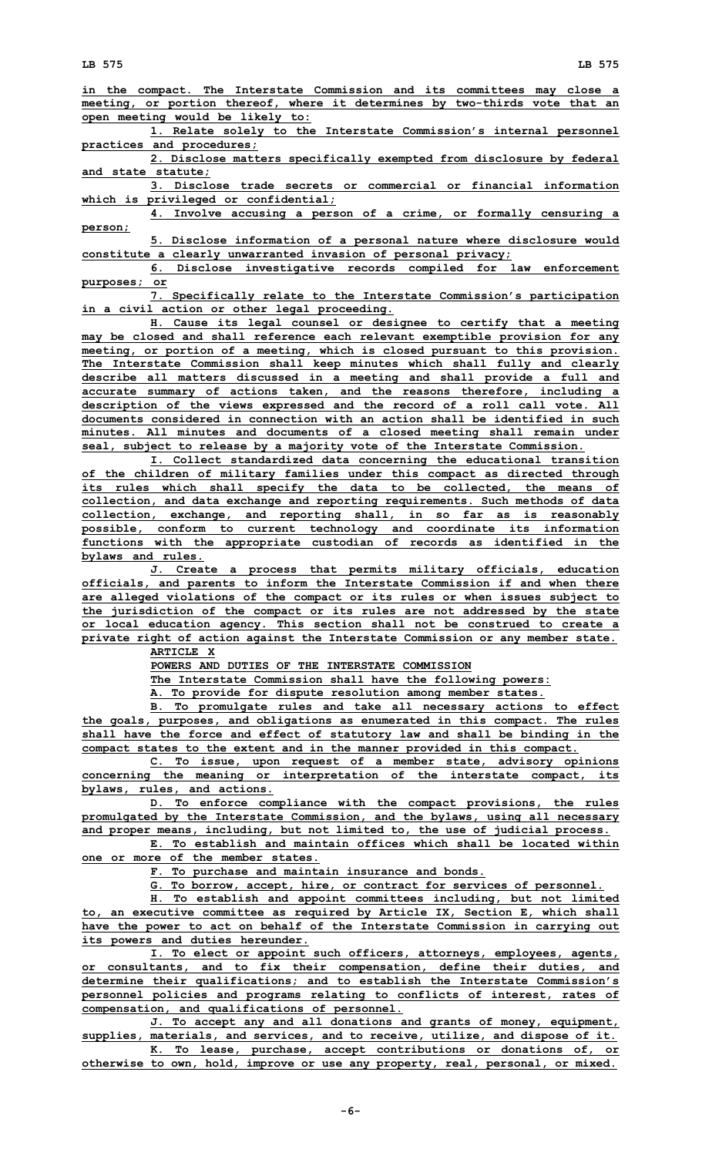**in the compact. The Interstate Commission and its committees may close <sup>a</sup> meeting, or portion thereof, where it determines by two-thirds vote that an open meeting would be likely to:**

**1. Relate solely to the Interstate Commission's internal personnel practices and procedures;**

**2. Disclose matters specifically exempted from disclosure by federal and state statute;**

**3. Disclose trade secrets or commercial or financial information which is privileged or confidential;**

**4. Involve accusing <sup>a</sup> person of <sup>a</sup> crime, or formally censuring <sup>a</sup> person;**

**5. Disclose information of <sup>a</sup> personal nature where disclosure would constitute <sup>a</sup> clearly unwarranted invasion of personal privacy;**

**6. Disclose investigative records compiled for law enforcement purposes; or**

**7. Specifically relate to the Interstate Commission's participation in <sup>a</sup> civil action or other legal proceeding.**

**H. Cause its legal counsel or designee to certify that <sup>a</sup> meeting may be closed and shall reference each relevant exemptible provision for any meeting, or portion of <sup>a</sup> meeting, which is closed pursuant to this provision. The Interstate Commission shall keep minutes which shall fully and clearly describe all matters discussed in <sup>a</sup> meeting and shall provide <sup>a</sup> full and accurate summary of actions taken, and the reasons therefore, including <sup>a</sup> description of the views expressed and the record of <sup>a</sup> roll call vote. All documents considered in connection with an action shall be identified in such minutes. All minutes and documents of <sup>a</sup> closed meeting shall remain under seal, subject to release by <sup>a</sup> majority vote of the Interstate Commission.**

**I. Collect standardized data concerning the educational transition of the children of military families under this compact as directed through its rules which shall specify the data to be collected, the means of collection, and data exchange and reporting requirements. Such methods of data collection, exchange, and reporting shall, in so far as is reasonably possible, conform to current technology and coordinate its information functions with the appropriate custodian of records as identified in the bylaws and rules.**

**J. Create <sup>a</sup> process that permits military officials, education officials, and parents to inform the Interstate Commission if and when there are alleged violations of the compact or its rules or when issues subject to the jurisdiction of the compact or its rules are not addressed by the state or local education agency. This section shall not be construed to create <sup>a</sup> private right of action against the Interstate Commission or any member state.**

**ARTICLE X**

**POWERS AND DUTIES OF THE INTERSTATE COMMISSION**

**The Interstate Commission shall have the following powers:**

**A. To provide for dispute resolution among member states.**

**B. To promulgate rules and take all necessary actions to effect the goals, purposes, and obligations as enumerated in this compact. The rules shall have the force and effect of statutory law and shall be binding in the compact states to the extent and in the manner provided in this compact.**

**C. To issue, upon request of <sup>a</sup> member state, advisory opinions concerning the meaning or interpretation of the interstate compact, its bylaws, rules, and actions.**

**D. To enforce compliance with the compact provisions, the rules promulgated by the Interstate Commission, and the bylaws, using all necessary and proper means, including, but not limited to, the use of judicial process.**

**E. To establish and maintain offices which shall be located within one or more of the member states.**

**F. To purchase and maintain insurance and bonds.**

**G. To borrow, accept, hire, or contract for services of personnel.**

**H. To establish and appoint committees including, but not limited to, an executive committee as required by Article IX, Section E, which shall have the power to act on behalf of the Interstate Commission in carrying out its powers and duties hereunder.**

**I. To elect or appoint such officers, attorneys, employees, agents, or consultants, and to fix their compensation, define their duties, and determine their qualifications; and to establish the Interstate Commission's personnel policies and programs relating to conflicts of interest, rates of compensation, and qualifications of personnel.**

**J. To accept any and all donations and grants of money, equipment, supplies, materials, and services, and to receive, utilize, and dispose of it. K. To lease, purchase, accept contributions or donations of, or**

**otherwise to own, hold, improve or use any property, real, personal, or mixed.**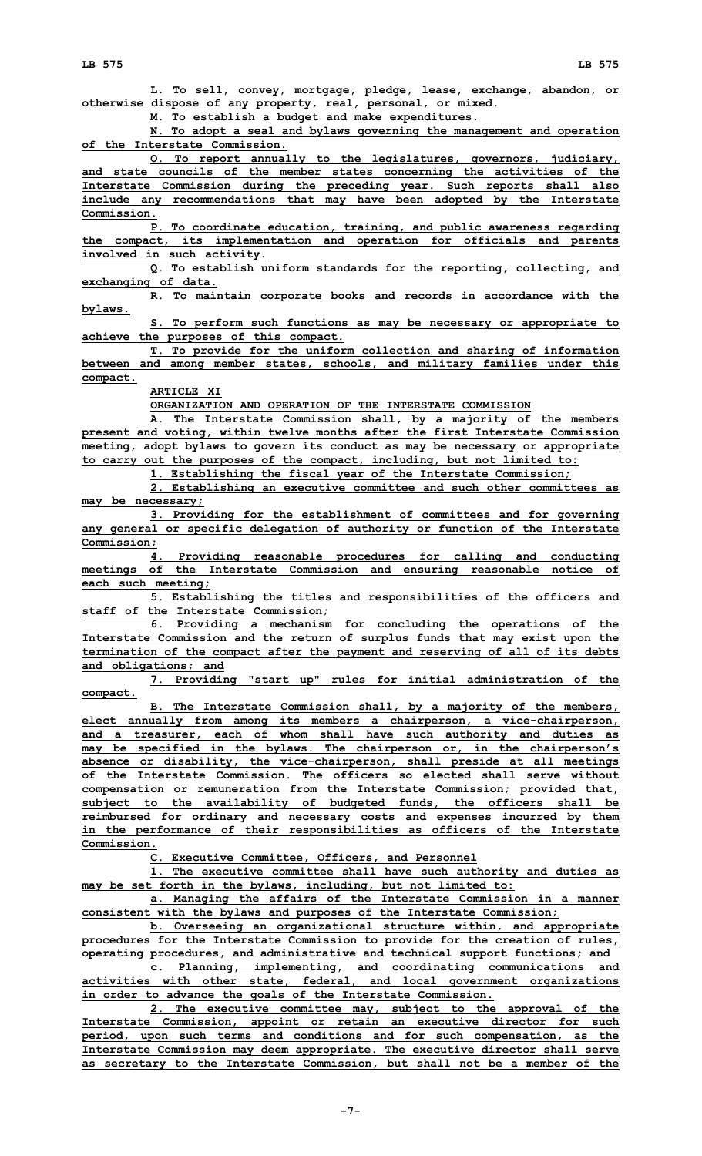**L. To sell, convey, mortgage, pledge, lease, exchange, abandon, or otherwise dispose of any property, real, personal, or mixed.**

**M. To establish <sup>a</sup> budget and make expenditures.**

**N. To adopt <sup>a</sup> seal and bylaws governing the management and operation of the Interstate Commission.**

**O. To report annually to the legislatures, governors, judiciary, and state councils of the member states concerning the activities of the Interstate Commission during the preceding year. Such reports shall also include any recommendations that may have been adopted by the Interstate Commission.**

**P. To coordinate education, training, and public awareness regarding the compact, its implementation and operation for officials and parents involved in such activity.**

**Q. To establish uniform standards for the reporting, collecting, and exchanging of data.**

**R. To maintain corporate books and records in accordance with the bylaws.**

**S. To perform such functions as may be necessary or appropriate to achieve the purposes of this compact.**

**T. To provide for the uniform collection and sharing of information between and among member states, schools, and military families under this compact.**

**ARTICLE XI**

**ORGANIZATION AND OPERATION OF THE INTERSTATE COMMISSION**

**A. The Interstate Commission shall, by <sup>a</sup> majority of the members present and voting, within twelve months after the first Interstate Commission meeting, adopt bylaws to govern its conduct as may be necessary or appropriate to carry out the purposes of the compact, including, but not limited to:**

**1. Establishing the fiscal year of the Interstate Commission;**

**2. Establishing an executive committee and such other committees as may be necessary;**

**3. Providing for the establishment of committees and for governing any general or specific delegation of authority or function of the Interstate Commission;**

**4. Providing reasonable procedures for calling and conducting meetings of the Interstate Commission and ensuring reasonable notice of each such meeting;**

**5. Establishing the titles and responsibilities of the officers and staff of the Interstate Commission;**

**6. Providing <sup>a</sup> mechanism for concluding the operations of the Interstate Commission and the return of surplus funds that may exist upon the termination of the compact after the payment and reserving of all of its debts and obligations; and**

**7. Providing "start up" rules for initial administration of the compact.**

**B. The Interstate Commission shall, by <sup>a</sup> majority of the members, elect annually from among its members <sup>a</sup> chairperson, <sup>a</sup> vice-chairperson, and <sup>a</sup> treasurer, each of whom shall have such authority and duties as may be specified in the bylaws. The chairperson or, in the chairperson's absence or disability, the vice-chairperson, shall preside at all meetings of the Interstate Commission. The officers so elected shall serve without compensation or remuneration from the Interstate Commission; provided that, subject to the availability of budgeted funds, the officers shall be reimbursed for ordinary and necessary costs and expenses incurred by them in the performance of their responsibilities as officers of the Interstate Commission.**

**C. Executive Committee, Officers, and Personnel**

**1. The executive committee shall have such authority and duties as may be set forth in the bylaws, including, but not limited to:**

**a. Managing the affairs of the Interstate Commission in <sup>a</sup> manner consistent with the bylaws and purposes of the Interstate Commission;**

**b. Overseeing an organizational structure within, and appropriate procedures for the Interstate Commission to provide for the creation of rules, operating procedures, and administrative and technical support functions; and**

**c. Planning, implementing, and coordinating communications and activities with other state, federal, and local government organizations in order to advance the goals of the Interstate Commission.**

**2. The executive committee may, subject to the approval of the Interstate Commission, appoint or retain an executive director for such period, upon such terms and conditions and for such compensation, as the Interstate Commission may deem appropriate. The executive director shall serve as secretary to the Interstate Commission, but shall not be <sup>a</sup> member of the**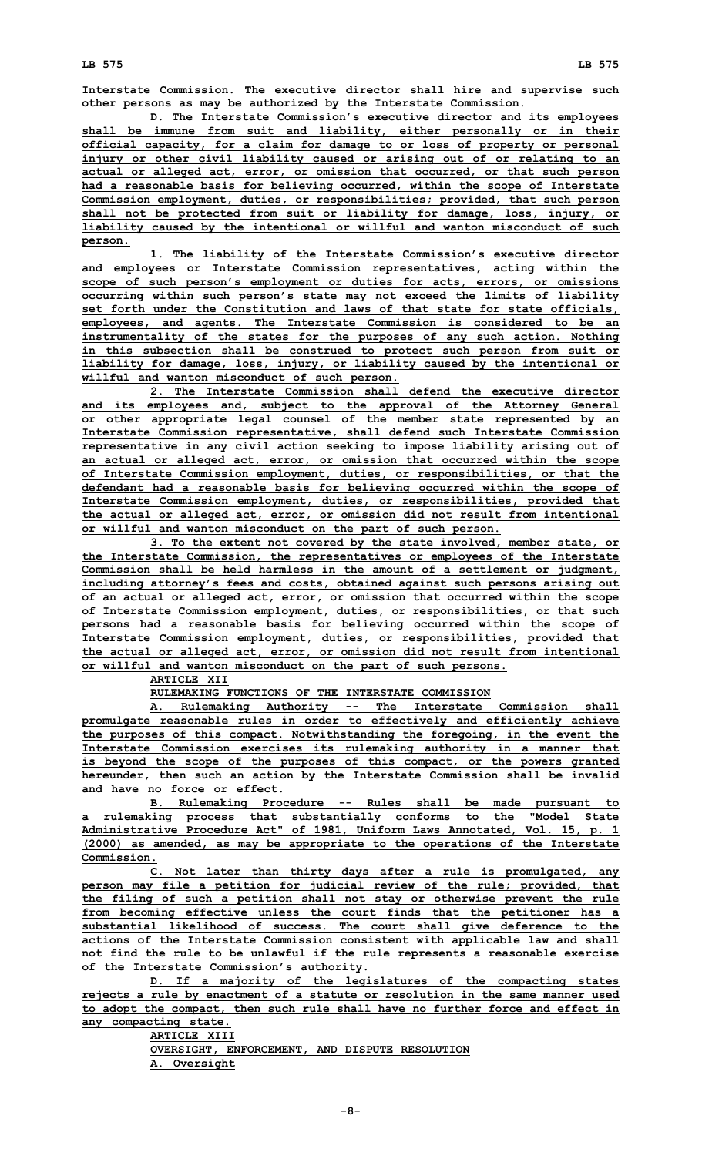**Interstate Commission. The executive director shall hire and supervise such other persons as may be authorized by the Interstate Commission.**

**D. The Interstate Commission's executive director and its employees shall be immune from suit and liability, either personally or in their official capacity, for <sup>a</sup> claim for damage to or loss of property or personal injury or other civil liability caused or arising out of or relating to an actual or alleged act, error, or omission that occurred, or that such person had <sup>a</sup> reasonable basis for believing occurred, within the scope of Interstate Commission employment, duties, or responsibilities; provided, that such person shall not be protected from suit or liability for damage, loss, injury, or liability caused by the intentional or willful and wanton misconduct of such person.**

**1. The liability of the Interstate Commission's executive director and employees or Interstate Commission representatives, acting within the scope of such person's employment or duties for acts, errors, or omissions occurring within such person's state may not exceed the limits of liability set forth under the Constitution and laws of that state for state officials, employees, and agents. The Interstate Commission is considered to be an instrumentality of the states for the purposes of any such action. Nothing in this subsection shall be construed to protect such person from suit or liability for damage, loss, injury, or liability caused by the intentional or willful and wanton misconduct of such person.**

**2. The Interstate Commission shall defend the executive director and its employees and, subject to the approval of the Attorney General or other appropriate legal counsel of the member state represented by an Interstate Commission representative, shall defend such Interstate Commission representative in any civil action seeking to impose liability arising out of an actual or alleged act, error, or omission that occurred within the scope of Interstate Commission employment, duties, or responsibilities, or that the defendant had <sup>a</sup> reasonable basis for believing occurred within the scope of Interstate Commission employment, duties, or responsibilities, provided that the actual or alleged act, error, or omission did not result from intentional or willful and wanton misconduct on the part of such person.**

**3. To the extent not covered by the state involved, member state, or the Interstate Commission, the representatives or employees of the Interstate Commission shall be held harmless in the amount of <sup>a</sup> settlement or judgment, including attorney's fees and costs, obtained against such persons arising out of an actual or alleged act, error, or omission that occurred within the scope of Interstate Commission employment, duties, or responsibilities, or that such persons had <sup>a</sup> reasonable basis for believing occurred within the scope of Interstate Commission employment, duties, or responsibilities, provided that the actual or alleged act, error, or omission did not result from intentional or willful and wanton misconduct on the part of such persons.**

**ARTICLE XII**

**RULEMAKING FUNCTIONS OF THE INTERSTATE COMMISSION**

**A. Rulemaking Authority -- The Interstate Commission shall promulgate reasonable rules in order to effectively and efficiently achieve the purposes of this compact. Notwithstanding the foregoing, in the event the Interstate Commission exercises its rulemaking authority in <sup>a</sup> manner that is beyond the scope of the purposes of this compact, or the powers granted hereunder, then such an action by the Interstate Commission shall be invalid and have no force or effect.**

**B. Rulemaking Procedure -- Rules shall be made pursuant to <sup>a</sup> rulemaking process that substantially conforms to the "Model State Administrative Procedure Act" of 1981, Uniform Laws Annotated, Vol. 15, p. 1 (2000) as amended, as may be appropriate to the operations of the Interstate Commission.**

**C. Not later than thirty days after <sup>a</sup> rule is promulgated, any person may file <sup>a</sup> petition for judicial review of the rule; provided, that the filing of such <sup>a</sup> petition shall not stay or otherwise prevent the rule from becoming effective unless the court finds that the petitioner has <sup>a</sup> substantial likelihood of success. The court shall give deference to the actions of the Interstate Commission consistent with applicable law and shall not find the rule to be unlawful if the rule represents <sup>a</sup> reasonable exercise of the Interstate Commission's authority.**

**D. If <sup>a</sup> majority of the legislatures of the compacting states rejects <sup>a</sup> rule by enactment of <sup>a</sup> statute or resolution in the same manner used to adopt the compact, then such rule shall have no further force and effect in any compacting state.**

**ARTICLE XIII OVERSIGHT, ENFORCEMENT, AND DISPUTE RESOLUTION A. Oversight**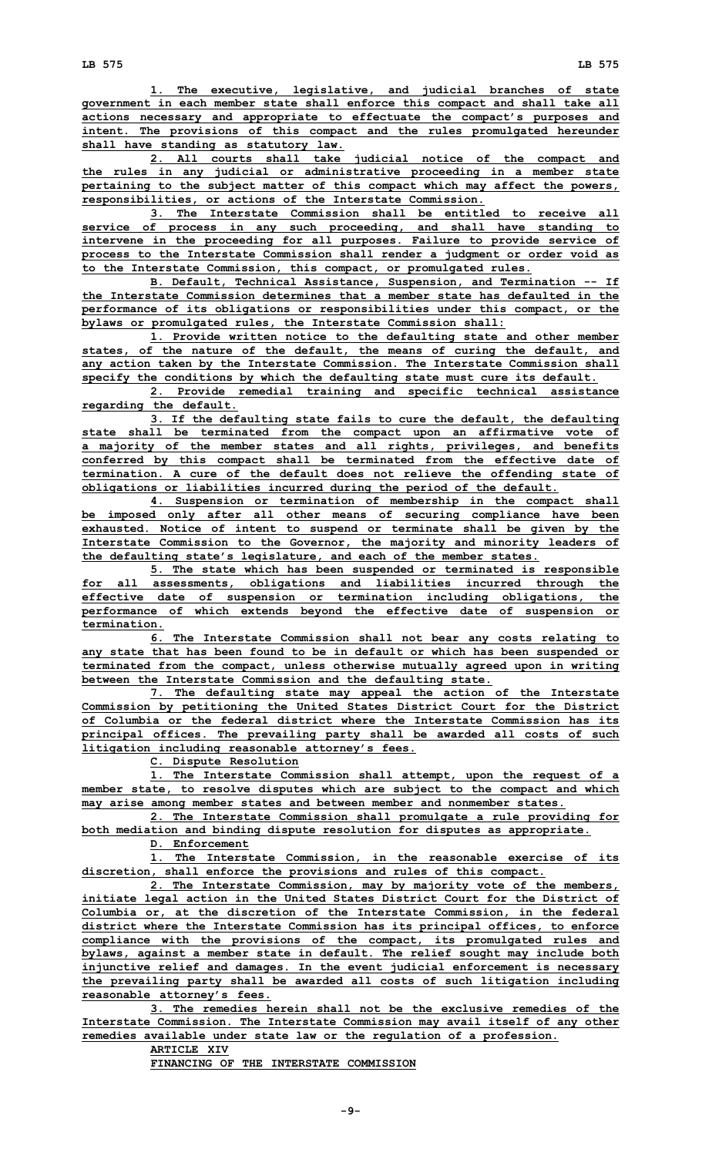**1. The executive, legislative, and judicial branches of state government in each member state shall enforce this compact and shall take all actions necessary and appropriate to effectuate the compact's purposes and intent. The provisions of this compact and the rules promulgated hereunder shall have standing as statutory law.**

**2. All courts shall take judicial notice of the compact and the rules in any judicial or administrative proceeding in <sup>a</sup> member state pertaining to the subject matter of this compact which may affect the powers, responsibilities, or actions of the Interstate Commission.**

**3. The Interstate Commission shall be entitled to receive all service of process in any such proceeding, and shall have standing to intervene in the proceeding for all purposes. Failure to provide service of process to the Interstate Commission shall render <sup>a</sup> judgment or order void as to the Interstate Commission, this compact, or promulgated rules.**

**B. Default, Technical Assistance, Suspension, and Termination -- If the Interstate Commission determines that a member state has defaulted in the performance of its obligations or responsibilities under this compact, or the bylaws or promulgated rules, the Interstate Commission shall:**

**1. Provide written notice to the defaulting state and other member states, of the nature of the default, the means of curing the default, and any action taken by the Interstate Commission. The Interstate Commission shall specify the conditions by which the defaulting state must cure its default.**

**2. Provide remedial training and specific technical assistance regarding the default.**

**3. If the defaulting state fails to cure the default, the defaulting state shall be terminated from the compact upon an affirmative vote of <sup>a</sup> majority of the member states and all rights, privileges, and benefits conferred by this compact shall be terminated from the effective date of termination. A cure of the default does not relieve the offending state of obligations or liabilities incurred during the period of the default.**

**4. Suspension or termination of membership in the compact shall be imposed only after all other means of securing compliance have been exhausted. Notice of intent to suspend or terminate shall be given by the Interstate Commission to the Governor, the majority and minority leaders of the defaulting state's legislature, and each of the member states.**

**5. The state which has been suspended or terminated is responsible for all assessments, obligations and liabilities incurred through the effective date of suspension or termination including obligations, the performance of which extends beyond the effective date of suspension or termination.**

**6. The Interstate Commission shall not bear any costs relating to any state that has been found to be in default or which has been suspended or terminated from the compact, unless otherwise mutually agreed upon in writing between the Interstate Commission and the defaulting state.**

**7. The defaulting state may appeal the action of the Interstate Commission by petitioning the United States District Court for the District of Columbia or the federal district where the Interstate Commission has its principal offices. The prevailing party shall be awarded all costs of such litigation including reasonable attorney's fees.**

**C. Dispute Resolution**

**1. The Interstate Commission shall attempt, upon the request of <sup>a</sup> member state, to resolve disputes which are subject to the compact and which may arise among member states and between member and nonmember states.**

**2. The Interstate Commission shall promulgate <sup>a</sup> rule providing for both mediation and binding dispute resolution for disputes as appropriate.**

**D. Enforcement**

**1. The Interstate Commission, in the reasonable exercise of its discretion, shall enforce the provisions and rules of this compact.**

**2. The Interstate Commission, may by majority vote of the members, initiate legal action in the United States District Court for the District of Columbia or, at the discretion of the Interstate Commission, in the federal district where the Interstate Commission has its principal offices, to enforce compliance with the provisions of the compact, its promulgated rules and bylaws, against <sup>a</sup> member state in default. The relief sought may include both injunctive relief and damages. In the event judicial enforcement is necessary the prevailing party shall be awarded all costs of such litigation including reasonable attorney's fees.**

**3. The remedies herein shall not be the exclusive remedies of the Interstate Commission. The Interstate Commission may avail itself of any other remedies available under state law or the regulation of <sup>a</sup> profession.**

**ARTICLE XIV**

**FINANCING OF THE INTERSTATE COMMISSION**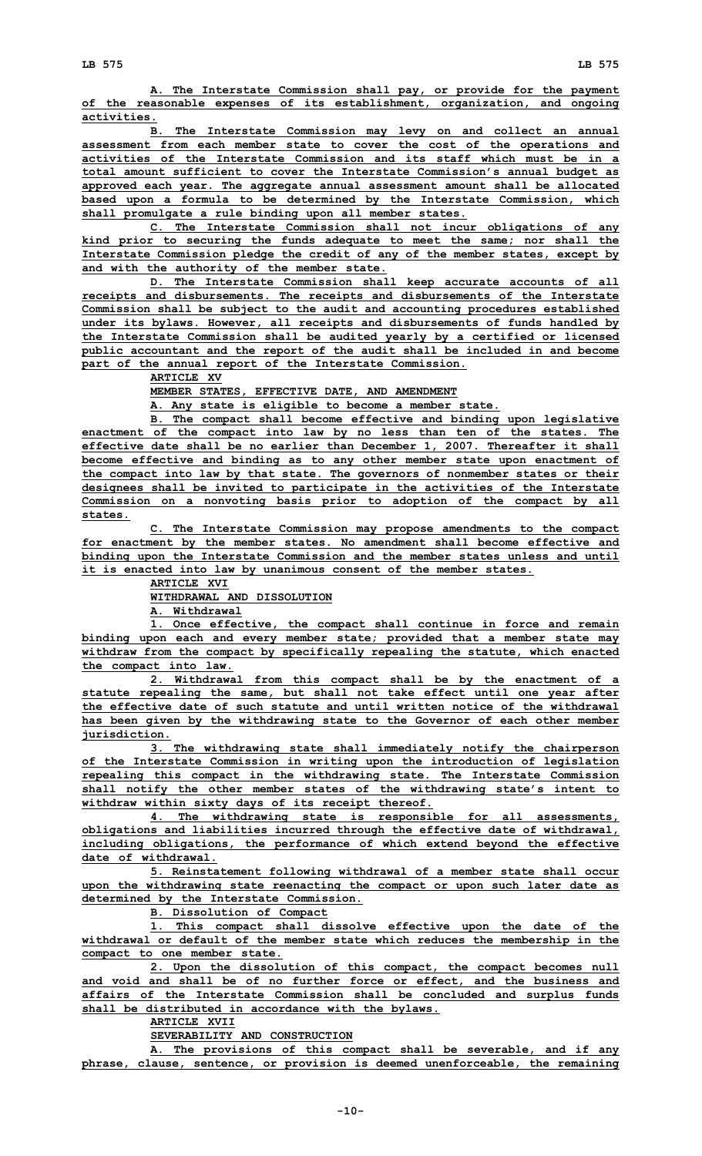**A. The Interstate Commission shall pay, or provide for the payment of the reasonable expenses of its establishment, organization, and ongoing activities.**

**B. The Interstate Commission may levy on and collect an annual assessment from each member state to cover the cost of the operations and activities of the Interstate Commission and its staff which must be in a total amount sufficient to cover the Interstate Commission's annual budget as approved each year. The aggregate annual assessment amount shall be allocated based upon <sup>a</sup> formula to be determined by the Interstate Commission, which shall promulgate <sup>a</sup> rule binding upon all member states.**

**C. The Interstate Commission shall not incur obligations of any kind prior to securing the funds adequate to meet the same; nor shall the Interstate Commission pledge the credit of any of the member states, except by and with the authority of the member state.**

**D. The Interstate Commission shall keep accurate accounts of all receipts and disbursements. The receipts and disbursements of the Interstate Commission shall be subject to the audit and accounting procedures established under its bylaws. However, all receipts and disbursements of funds handled by the Interstate Commission shall be audited yearly by <sup>a</sup> certified or licensed public accountant and the report of the audit shall be included in and become part of the annual report of the Interstate Commission.**

**ARTICLE XV**

**MEMBER STATES, EFFECTIVE DATE, AND AMENDMENT**

**A. Any state is eligible to become <sup>a</sup> member state.**

**B. The compact shall become effective and binding upon legislative enactment of the compact into law by no less than ten of the states. The effective date shall be no earlier than December 1, 2007. Thereafter it shall become effective and binding as to any other member state upon enactment of the compact into law by that state. The governors of nonmember states or their designees shall be invited to participate in the activities of the Interstate Commission on <sup>a</sup> nonvoting basis prior to adoption of the compact by all states.**

**C. The Interstate Commission may propose amendments to the compact for enactment by the member states. No amendment shall become effective and binding upon the Interstate Commission and the member states unless and until it is enacted into law by unanimous consent of the member states.**

> **ARTICLE XVI WITHDRAWAL AND DISSOLUTION**

**A. Withdrawal**

**1. Once effective, the compact shall continue in force and remain binding upon each and every member state; provided that <sup>a</sup> member state may withdraw from the compact by specifically repealing the statute, which enacted the compact into law.**

**2. Withdrawal from this compact shall be by the enactment of <sup>a</sup> statute repealing the same, but shall not take effect until one year after the effective date of such statute and until written notice of the withdrawal has been given by the withdrawing state to the Governor of each other member jurisdiction.**

**3. The withdrawing state shall immediately notify the chairperson of the Interstate Commission in writing upon the introduction of legislation repealing this compact in the withdrawing state. The Interstate Commission shall notify the other member states of the withdrawing state's intent to withdraw within sixty days of its receipt thereof.**

**4. The withdrawing state is responsible for all assessments, obligations and liabilities incurred through the effective date of withdrawal, including obligations, the performance of which extend beyond the effective date of withdrawal.**

**5. Reinstatement following withdrawal of <sup>a</sup> member state shall occur upon the withdrawing state reenacting the compact or upon such later date as determined by the Interstate Commission.**

**B. Dissolution of Compact**

**1. This compact shall dissolve effective upon the date of the withdrawal or default of the member state which reduces the membership in the compact to one member state.**

**2. Upon the dissolution of this compact, the compact becomes null and void and shall be of no further force or effect, and the business and affairs of the Interstate Commission shall be concluded and surplus funds shall be distributed in accordance with the bylaws.**

**ARTICLE XVII**

**SEVERABILITY AND CONSTRUCTION**

**A. The provisions of this compact shall be severable, and if any phrase, clause, sentence, or provision is deemed unenforceable, the remaining**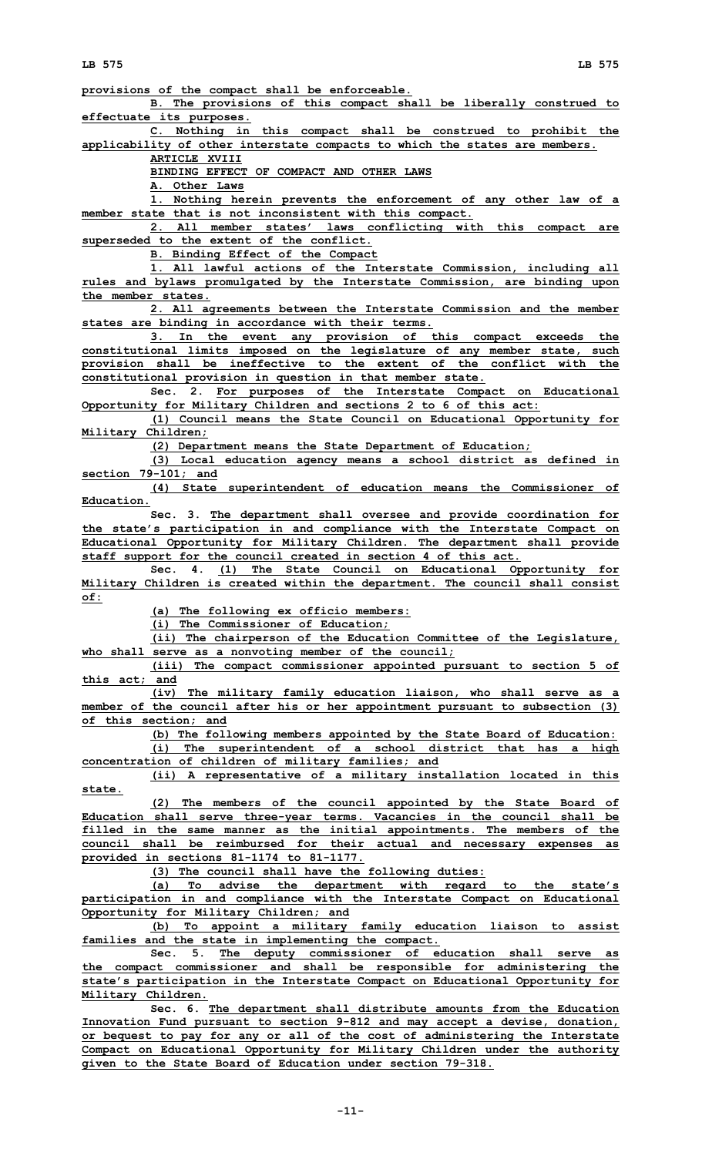**provisions of the compact shall be enforceable.**

**B. The provisions of this compact shall be liberally construed to effectuate its purposes.**

**C. Nothing in this compact shall be construed to prohibit the applicability of other interstate compacts to which the states are members.**

**ARTICLE XVIII**

**BINDING EFFECT OF COMPACT AND OTHER LAWS**

**A. Other Laws**

**1. Nothing herein prevents the enforcement of any other law of <sup>a</sup> member state that is not inconsistent with this compact.**

**2. All member states' laws conflicting with this compact are superseded to the extent of the conflict.**

**B. Binding Effect of the Compact**

**1. All lawful actions of the Interstate Commission, including all rules and bylaws promulgated by the Interstate Commission, are binding upon the member states.**

**2. All agreements between the Interstate Commission and the member states are binding in accordance with their terms.**

**3. In the event any provision of this compact exceeds the constitutional limits imposed on the legislature of any member state, such provision shall be ineffective to the extent of the conflict with the constitutional provision in question in that member state.**

**Sec. 2. For purposes of the Interstate Compact on Educational Opportunity for Military Children and sections 2 to 6 of this act:**

**(1) Council means the State Council on Educational Opportunity for Military Children;**

**(2) Department means the State Department of Education;**

**(3) Local education agency means <sup>a</sup> school district as defined in section 79-101; and**

**(4) State superintendent of education means the Commissioner of Education.**

**Sec. 3. The department shall oversee and provide coordination for the state's participation in and compliance with the Interstate Compact on Educational Opportunity for Military Children. The department shall provide staff support for the council created in section 4 of this act.**

**Sec. 4. (1) The State Council on Educational Opportunity for Military Children is created within the department. The council shall consist of:**

**(a) The following ex officio members:**

**(i) The Commissioner of Education;**

**(ii) The chairperson of the Education Committee of the Legislature, who shall serve as <sup>a</sup> nonvoting member of the council;**

**(iii) The compact commissioner appointed pursuant to section 5 of this act; and**

**(iv) The military family education liaison, who shall serve as <sup>a</sup> member of the council after his or her appointment pursuant to subsection (3) of this section; and**

**(b) The following members appointed by the State Board of Education: (i) The superintendent of <sup>a</sup> school district that has <sup>a</sup> high**

**concentration of children of military families; and (ii) <sup>A</sup> representative of <sup>a</sup> military installation located in this**

**state.**

**(2) The members of the council appointed by the State Board of Education shall serve three-year terms. Vacancies in the council shall be filled in the same manner as the initial appointments. The members of the council shall be reimbursed for their actual and necessary expenses as provided in sections 81-1174 to 81-1177.**

**(3) The council shall have the following duties:**

**(a) To advise the department with regard to the state's participation in and compliance with the Interstate Compact on Educational Opportunity for Military Children; and**

**(b) To appoint <sup>a</sup> military family education liaison to assist families and the state in implementing the compact.**

**Sec. 5. The deputy commissioner of education shall serve as the compact commissioner and shall be responsible for administering the state's participation in the Interstate Compact on Educational Opportunity for Military Children.**

**Sec. 6. The department shall distribute amounts from the Education Innovation Fund pursuant to section 9-812 and may accept <sup>a</sup> devise, donation, or bequest to pay for any or all of the cost of administering the Interstate Compact on Educational Opportunity for Military Children under the authority given to the State Board of Education under section 79-318.**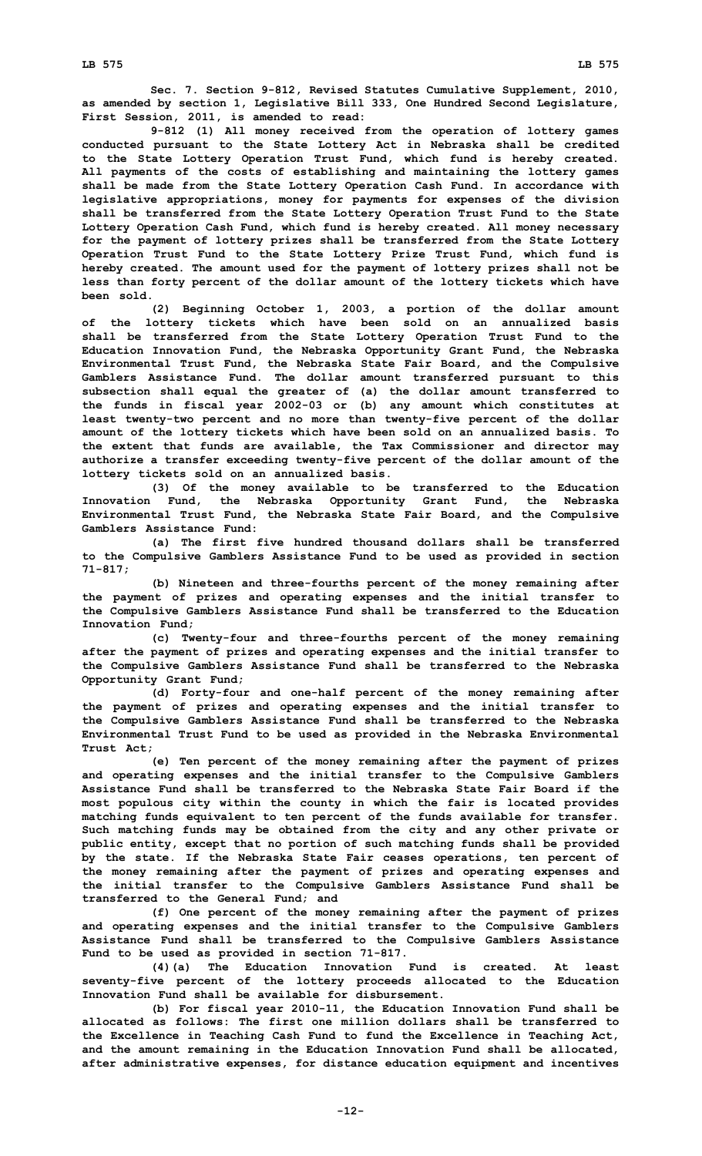**Sec. 7. Section 9-812, Revised Statutes Cumulative Supplement, 2010, as amended by section 1, Legislative Bill 333, One Hundred Second Legislature, First Session, 2011, is amended to read:**

**9-812 (1) All money received from the operation of lottery games conducted pursuant to the State Lottery Act in Nebraska shall be credited to the State Lottery Operation Trust Fund, which fund is hereby created. All payments of the costs of establishing and maintaining the lottery games shall be made from the State Lottery Operation Cash Fund. In accordance with legislative appropriations, money for payments for expenses of the division shall be transferred from the State Lottery Operation Trust Fund to the State Lottery Operation Cash Fund, which fund is hereby created. All money necessary for the payment of lottery prizes shall be transferred from the State Lottery Operation Trust Fund to the State Lottery Prize Trust Fund, which fund is hereby created. The amount used for the payment of lottery prizes shall not be less than forty percent of the dollar amount of the lottery tickets which have been sold.**

**(2) Beginning October 1, 2003, <sup>a</sup> portion of the dollar amount of the lottery tickets which have been sold on an annualized basis shall be transferred from the State Lottery Operation Trust Fund to the Education Innovation Fund, the Nebraska Opportunity Grant Fund, the Nebraska Environmental Trust Fund, the Nebraska State Fair Board, and the Compulsive Gamblers Assistance Fund. The dollar amount transferred pursuant to this subsection shall equal the greater of (a) the dollar amount transferred to the funds in fiscal year 2002-03 or (b) any amount which constitutes at least twenty-two percent and no more than twenty-five percent of the dollar amount of the lottery tickets which have been sold on an annualized basis. To the extent that funds are available, the Tax Commissioner and director may authorize <sup>a</sup> transfer exceeding twenty-five percent of the dollar amount of the lottery tickets sold on an annualized basis.**

**(3) Of the money available to be transferred to the Education Innovation Fund, the Nebraska Opportunity Grant Fund, the Nebraska Environmental Trust Fund, the Nebraska State Fair Board, and the Compulsive Gamblers Assistance Fund:**

**(a) The first five hundred thousand dollars shall be transferred to the Compulsive Gamblers Assistance Fund to be used as provided in section 71-817;**

**(b) Nineteen and three-fourths percent of the money remaining after the payment of prizes and operating expenses and the initial transfer to the Compulsive Gamblers Assistance Fund shall be transferred to the Education Innovation Fund;**

**(c) Twenty-four and three-fourths percent of the money remaining after the payment of prizes and operating expenses and the initial transfer to the Compulsive Gamblers Assistance Fund shall be transferred to the Nebraska Opportunity Grant Fund;**

**(d) Forty-four and one-half percent of the money remaining after the payment of prizes and operating expenses and the initial transfer to the Compulsive Gamblers Assistance Fund shall be transferred to the Nebraska Environmental Trust Fund to be used as provided in the Nebraska Environmental Trust Act;**

**(e) Ten percent of the money remaining after the payment of prizes and operating expenses and the initial transfer to the Compulsive Gamblers Assistance Fund shall be transferred to the Nebraska State Fair Board if the most populous city within the county in which the fair is located provides matching funds equivalent to ten percent of the funds available for transfer. Such matching funds may be obtained from the city and any other private or public entity, except that no portion of such matching funds shall be provided by the state. If the Nebraska State Fair ceases operations, ten percent of the money remaining after the payment of prizes and operating expenses and the initial transfer to the Compulsive Gamblers Assistance Fund shall be transferred to the General Fund; and**

**(f) One percent of the money remaining after the payment of prizes and operating expenses and the initial transfer to the Compulsive Gamblers Assistance Fund shall be transferred to the Compulsive Gamblers Assistance Fund to be used as provided in section 71-817.**

**(4)(a) The Education Innovation Fund is created. At least seventy-five percent of the lottery proceeds allocated to the Education Innovation Fund shall be available for disbursement.**

**(b) For fiscal year 2010-11, the Education Innovation Fund shall be allocated as follows: The first one million dollars shall be transferred to the Excellence in Teaching Cash Fund to fund the Excellence in Teaching Act, and the amount remaining in the Education Innovation Fund shall be allocated, after administrative expenses, for distance education equipment and incentives**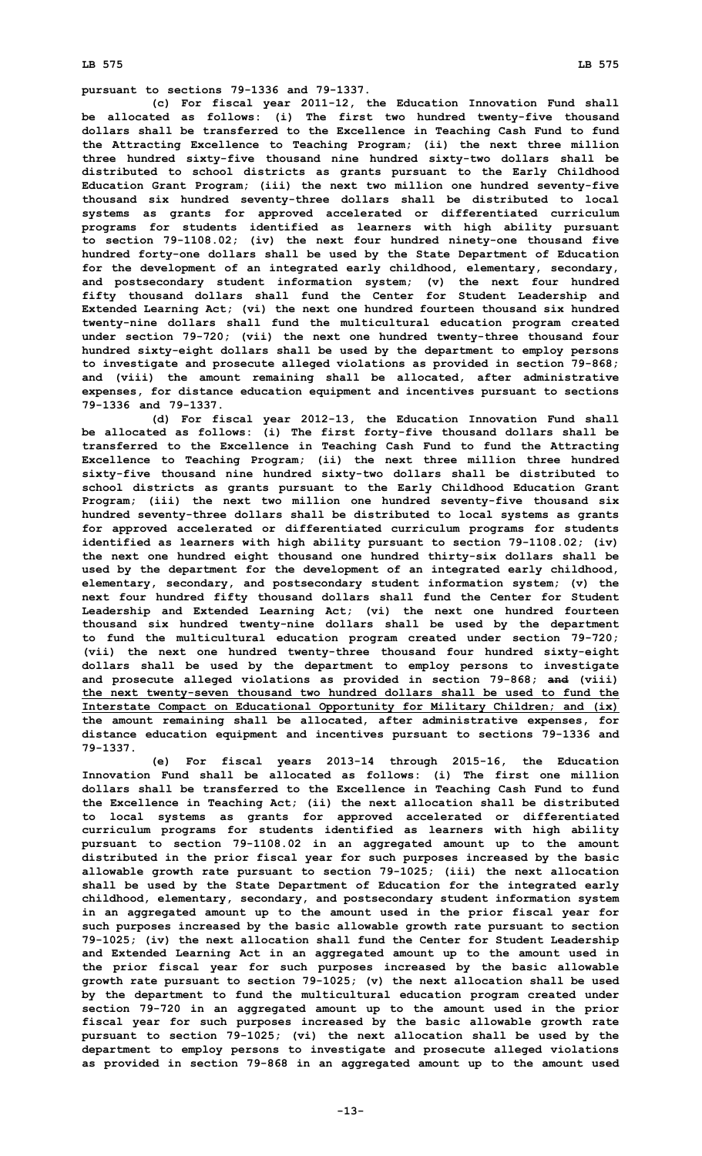**pursuant to sections 79-1336 and 79-1337.**

**(c) For fiscal year 2011-12, the Education Innovation Fund shall be allocated as follows: (i) The first two hundred twenty-five thousand dollars shall be transferred to the Excellence in Teaching Cash Fund to fund the Attracting Excellence to Teaching Program; (ii) the next three million three hundred sixty-five thousand nine hundred sixty-two dollars shall be distributed to school districts as grants pursuant to the Early Childhood Education Grant Program; (iii) the next two million one hundred seventy-five thousand six hundred seventy-three dollars shall be distributed to local systems as grants for approved accelerated or differentiated curriculum programs for students identified as learners with high ability pursuant to section 79-1108.02; (iv) the next four hundred ninety-one thousand five hundred forty-one dollars shall be used by the State Department of Education for the development of an integrated early childhood, elementary, secondary, and postsecondary student information system; (v) the next four hundred fifty thousand dollars shall fund the Center for Student Leadership and Extended Learning Act; (vi) the next one hundred fourteen thousand six hundred twenty-nine dollars shall fund the multicultural education program created under section 79-720; (vii) the next one hundred twenty-three thousand four hundred sixty-eight dollars shall be used by the department to employ persons to investigate and prosecute alleged violations as provided in section 79-868; and (viii) the amount remaining shall be allocated, after administrative expenses, for distance education equipment and incentives pursuant to sections 79-1336 and 79-1337.**

**(d) For fiscal year 2012-13, the Education Innovation Fund shall be allocated as follows: (i) The first forty-five thousand dollars shall be transferred to the Excellence in Teaching Cash Fund to fund the Attracting Excellence to Teaching Program; (ii) the next three million three hundred sixty-five thousand nine hundred sixty-two dollars shall be distributed to school districts as grants pursuant to the Early Childhood Education Grant Program; (iii) the next two million one hundred seventy-five thousand six hundred seventy-three dollars shall be distributed to local systems as grants for approved accelerated or differentiated curriculum programs for students identified as learners with high ability pursuant to section 79-1108.02; (iv) the next one hundred eight thousand one hundred thirty-six dollars shall be used by the department for the development of an integrated early childhood, elementary, secondary, and postsecondary student information system; (v) the next four hundred fifty thousand dollars shall fund the Center for Student Leadership and Extended Learning Act; (vi) the next one hundred fourteen thousand six hundred twenty-nine dollars shall be used by the department to fund the multicultural education program created under section 79-720; (vii) the next one hundred twenty-three thousand four hundred sixty-eight dollars shall be used by the department to employ persons to investigate and prosecute alleged violations as provided in section 79-868; and (viii) the next twenty-seven thousand two hundred dollars shall be used to fund the Interstate Compact on Educational Opportunity for Military Children; and (ix) the amount remaining shall be allocated, after administrative expenses, for distance education equipment and incentives pursuant to sections 79-1336 and 79-1337.**

**(e) For fiscal years 2013-14 through 2015-16, the Education Innovation Fund shall be allocated as follows: (i) The first one million dollars shall be transferred to the Excellence in Teaching Cash Fund to fund the Excellence in Teaching Act; (ii) the next allocation shall be distributed to local systems as grants for approved accelerated or differentiated curriculum programs for students identified as learners with high ability pursuant to section 79-1108.02 in an aggregated amount up to the amount distributed in the prior fiscal year for such purposes increased by the basic allowable growth rate pursuant to section 79-1025; (iii) the next allocation shall be used by the State Department of Education for the integrated early childhood, elementary, secondary, and postsecondary student information system in an aggregated amount up to the amount used in the prior fiscal year for such purposes increased by the basic allowable growth rate pursuant to section 79-1025; (iv) the next allocation shall fund the Center for Student Leadership and Extended Learning Act in an aggregated amount up to the amount used in the prior fiscal year for such purposes increased by the basic allowable growth rate pursuant to section 79-1025; (v) the next allocation shall be used by the department to fund the multicultural education program created under section 79-720 in an aggregated amount up to the amount used in the prior fiscal year for such purposes increased by the basic allowable growth rate pursuant to section 79-1025; (vi) the next allocation shall be used by the department to employ persons to investigate and prosecute alleged violations as provided in section 79-868 in an aggregated amount up to the amount used**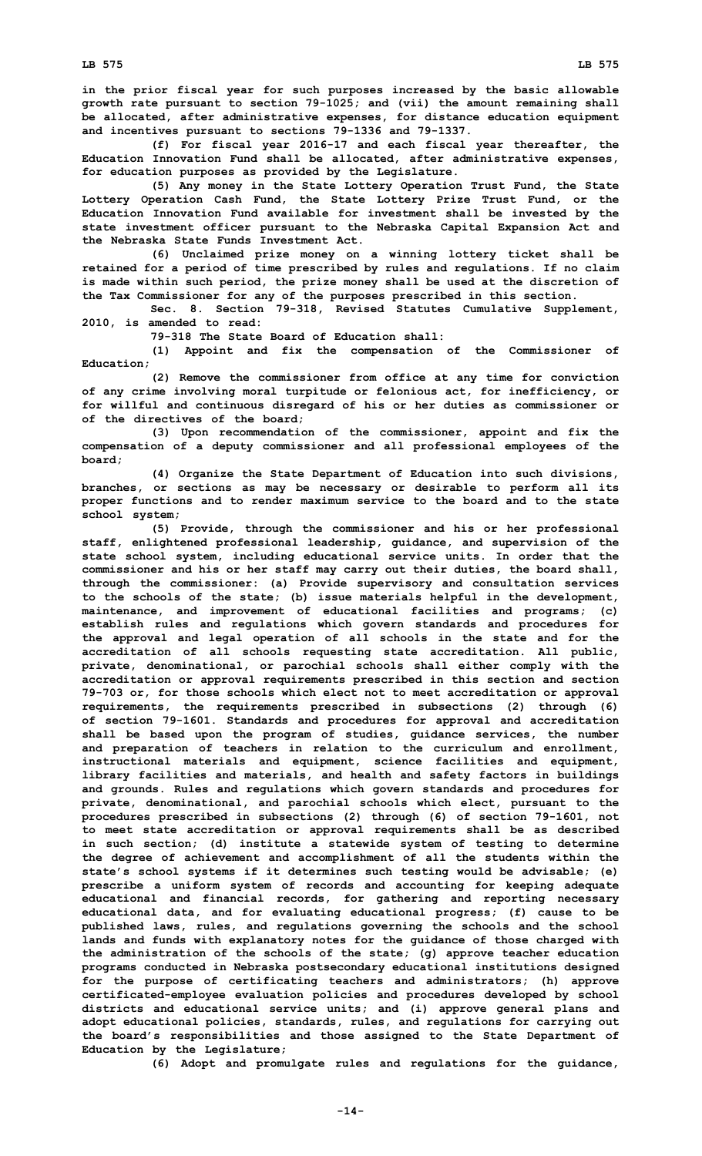**in the prior fiscal year for such purposes increased by the basic allowable growth rate pursuant to section 79-1025; and (vii) the amount remaining shall be allocated, after administrative expenses, for distance education equipment and incentives pursuant to sections 79-1336 and 79-1337.**

**(f) For fiscal year 2016-17 and each fiscal year thereafter, the Education Innovation Fund shall be allocated, after administrative expenses, for education purposes as provided by the Legislature.**

**(5) Any money in the State Lottery Operation Trust Fund, the State Lottery Operation Cash Fund, the State Lottery Prize Trust Fund, or the Education Innovation Fund available for investment shall be invested by the state investment officer pursuant to the Nebraska Capital Expansion Act and the Nebraska State Funds Investment Act.**

**(6) Unclaimed prize money on <sup>a</sup> winning lottery ticket shall be retained for <sup>a</sup> period of time prescribed by rules and regulations. If no claim is made within such period, the prize money shall be used at the discretion of the Tax Commissioner for any of the purposes prescribed in this section.**

**Sec. 8. Section 79-318, Revised Statutes Cumulative Supplement, 2010, is amended to read:**

**79-318 The State Board of Education shall:**

**(1) Appoint and fix the compensation of the Commissioner of Education;**

**(2) Remove the commissioner from office at any time for conviction of any crime involving moral turpitude or felonious act, for inefficiency, or for willful and continuous disregard of his or her duties as commissioner or of the directives of the board;**

**(3) Upon recommendation of the commissioner, appoint and fix the compensation of <sup>a</sup> deputy commissioner and all professional employees of the board;**

**(4) Organize the State Department of Education into such divisions, branches, or sections as may be necessary or desirable to perform all its proper functions and to render maximum service to the board and to the state school system;**

**(5) Provide, through the commissioner and his or her professional staff, enlightened professional leadership, guidance, and supervision of the state school system, including educational service units. In order that the commissioner and his or her staff may carry out their duties, the board shall, through the commissioner: (a) Provide supervisory and consultation services to the schools of the state; (b) issue materials helpful in the development, maintenance, and improvement of educational facilities and programs; (c) establish rules and regulations which govern standards and procedures for the approval and legal operation of all schools in the state and for the accreditation of all schools requesting state accreditation. All public, private, denominational, or parochial schools shall either comply with the accreditation or approval requirements prescribed in this section and section 79-703 or, for those schools which elect not to meet accreditation or approval requirements, the requirements prescribed in subsections (2) through (6) of section 79-1601. Standards and procedures for approval and accreditation shall be based upon the program of studies, guidance services, the number and preparation of teachers in relation to the curriculum and enrollment, instructional materials and equipment, science facilities and equipment, library facilities and materials, and health and safety factors in buildings and grounds. Rules and regulations which govern standards and procedures for private, denominational, and parochial schools which elect, pursuant to the procedures prescribed in subsections (2) through (6) of section 79-1601, not to meet state accreditation or approval requirements shall be as described in such section; (d) institute <sup>a</sup> statewide system of testing to determine the degree of achievement and accomplishment of all the students within the state's school systems if it determines such testing would be advisable; (e) prescribe <sup>a</sup> uniform system of records and accounting for keeping adequate educational and financial records, for gathering and reporting necessary educational data, and for evaluating educational progress; (f) cause to be published laws, rules, and regulations governing the schools and the school lands and funds with explanatory notes for the guidance of those charged with the administration of the schools of the state; (g) approve teacher education programs conducted in Nebraska postsecondary educational institutions designed for the purpose of certificating teachers and administrators; (h) approve certificated-employee evaluation policies and procedures developed by school districts and educational service units; and (i) approve general plans and adopt educational policies, standards, rules, and regulations for carrying out the board's responsibilities and those assigned to the State Department of Education by the Legislature;**

**(6) Adopt and promulgate rules and regulations for the guidance,**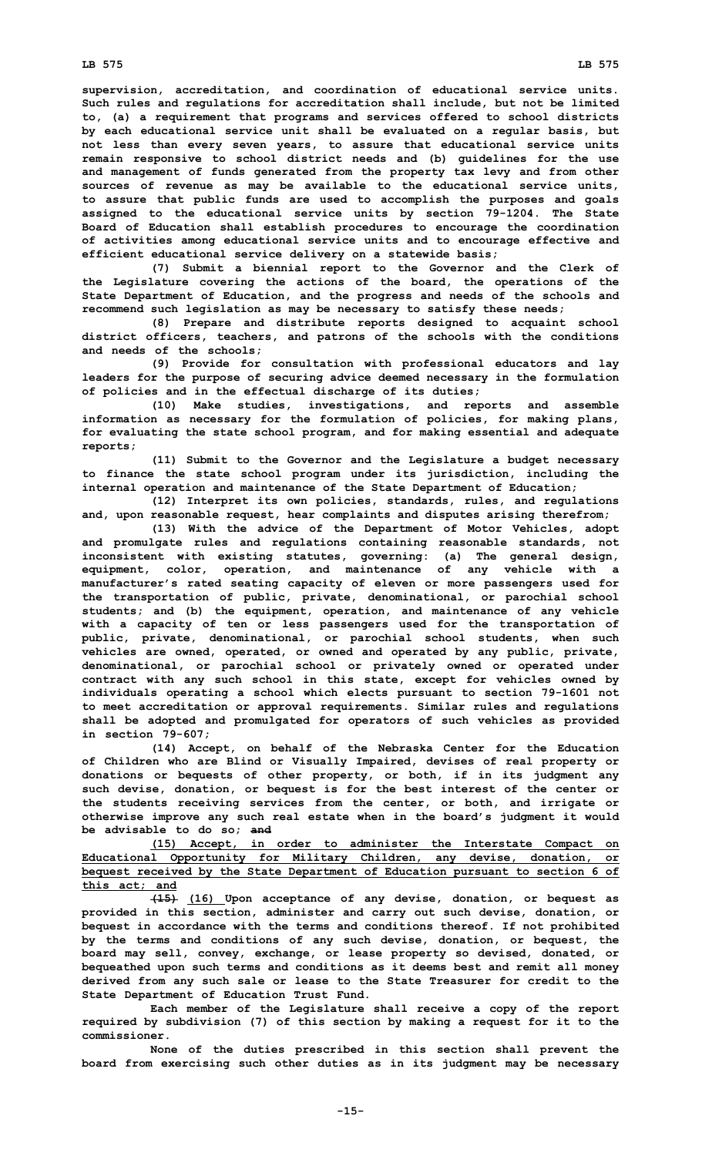**supervision, accreditation, and coordination of educational service units. Such rules and regulations for accreditation shall include, but not be limited to, (a) <sup>a</sup> requirement that programs and services offered to school districts by each educational service unit shall be evaluated on <sup>a</sup> regular basis, but not less than every seven years, to assure that educational service units remain responsive to school district needs and (b) guidelines for the use and management of funds generated from the property tax levy and from other sources of revenue as may be available to the educational service units, to assure that public funds are used to accomplish the purposes and goals assigned to the educational service units by section 79-1204. The State Board of Education shall establish procedures to encourage the coordination of activities among educational service units and to encourage effective and efficient educational service delivery on <sup>a</sup> statewide basis;**

**(7) Submit <sup>a</sup> biennial report to the Governor and the Clerk of the Legislature covering the actions of the board, the operations of the State Department of Education, and the progress and needs of the schools and recommend such legislation as may be necessary to satisfy these needs;**

**(8) Prepare and distribute reports designed to acquaint school district officers, teachers, and patrons of the schools with the conditions and needs of the schools;**

**(9) Provide for consultation with professional educators and lay leaders for the purpose of securing advice deemed necessary in the formulation of policies and in the effectual discharge of its duties;**

**(10) Make studies, investigations, and reports and assemble information as necessary for the formulation of policies, for making plans, for evaluating the state school program, and for making essential and adequate reports;**

**(11) Submit to the Governor and the Legislature <sup>a</sup> budget necessary to finance the state school program under its jurisdiction, including the internal operation and maintenance of the State Department of Education;**

**(12) Interpret its own policies, standards, rules, and regulations and, upon reasonable request, hear complaints and disputes arising therefrom;**

**(13) With the advice of the Department of Motor Vehicles, adopt and promulgate rules and regulations containing reasonable standards, not inconsistent with existing statutes, governing: (a) The general design, equipment, color, operation, and maintenance of any vehicle with <sup>a</sup> manufacturer's rated seating capacity of eleven or more passengers used for the transportation of public, private, denominational, or parochial school students; and (b) the equipment, operation, and maintenance of any vehicle with <sup>a</sup> capacity of ten or less passengers used for the transportation of public, private, denominational, or parochial school students, when such vehicles are owned, operated, or owned and operated by any public, private, denominational, or parochial school or privately owned or operated under contract with any such school in this state, except for vehicles owned by individuals operating <sup>a</sup> school which elects pursuant to section 79-1601 not to meet accreditation or approval requirements. Similar rules and regulations shall be adopted and promulgated for operators of such vehicles as provided in section 79-607;**

**(14) Accept, on behalf of the Nebraska Center for the Education of Children who are Blind or Visually Impaired, devises of real property or donations or bequests of other property, or both, if in its judgment any such devise, donation, or bequest is for the best interest of the center or the students receiving services from the center, or both, and irrigate or otherwise improve any such real estate when in the board's judgment it would be advisable to do so; and**

**(15) Accept, in order to administer the Interstate Compact on Educational Opportunity for Military Children, any devise, donation, or bequest received by the State Department of Education pursuant to section 6 of this act; and**

**(15) (16) Upon acceptance of any devise, donation, or bequest as provided in this section, administer and carry out such devise, donation, or bequest in accordance with the terms and conditions thereof. If not prohibited by the terms and conditions of any such devise, donation, or bequest, the board may sell, convey, exchange, or lease property so devised, donated, or bequeathed upon such terms and conditions as it deems best and remit all money derived from any such sale or lease to the State Treasurer for credit to the State Department of Education Trust Fund.**

**Each member of the Legislature shall receive <sup>a</sup> copy of the report required by subdivision (7) of this section by making <sup>a</sup> request for it to the commissioner.**

**None of the duties prescribed in this section shall prevent the board from exercising such other duties as in its judgment may be necessary**